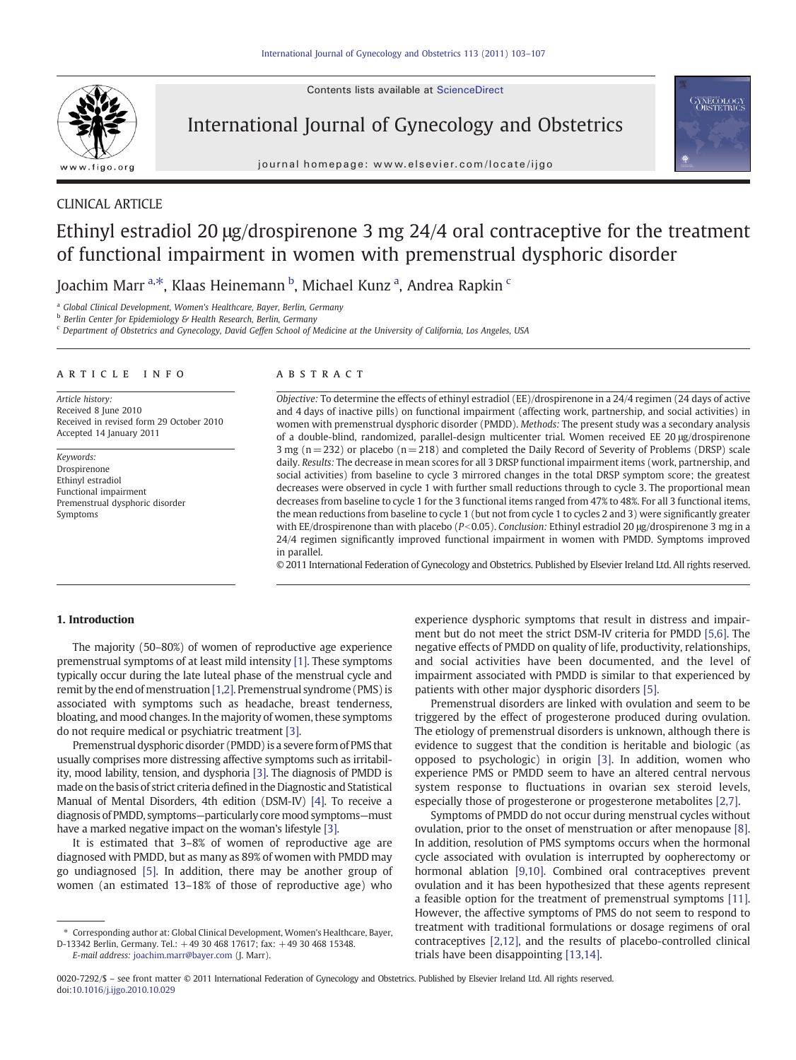Contents lists available at ScienceDirect



International Journal of Gynecology and Obstetrics

journal homepage: www.elsevier.com/locate/ijgo



# CLINICAL ARTICLE Ethinyl estradiol 20 μg/drospirenone 3 mg 24/4 oral contraceptive for the treatment of functional impairment in women with premenstrual dysphoric disorder

Joachim Marr <sup>a,\*</sup>, Klaas Heinemann <sup>b</sup>, Michael Kunz <sup>a</sup>, Andrea Rapkin <sup>c</sup>

<sup>a</sup> Global Clinical Development, Women's Healthcare, Bayer, Berlin, Germany

**b** Berlin Center for Epidemiology & Health Research, Berlin, Germany

<sup>c</sup> Department of Obstetrics and Gynecology, David Geffen School of Medicine at the University of California, Los Angeles, USA

#### article info abstract

Article history: Received 8 June 2010 Received in revised form 29 October 2010 Accepted 14 January 2011

Keywords: Drospirenone Ethinyl estradiol Functional impairment Premenstrual dysphoric disorder Symptoms

Objective: To determine the effects of ethinyl estradiol (EE)/drospirenone in a 24/4 regimen (24 days of active and 4 days of inactive pills) on functional impairment (affecting work, partnership, and social activities) in women with premenstrual dysphoric disorder (PMDD). Methods: The present study was a secondary analysis of a double-blind, randomized, parallel-design multicenter trial. Women received EE 20 μg/drospirenone 3 mg ( $n=$  232) or placebo ( $n=$  218) and completed the Daily Record of Severity of Problems (DRSP) scale daily. Results: The decrease in mean scores for all 3 DRSP functional impairment items (work, partnership, and social activities) from baseline to cycle 3 mirrored changes in the total DRSP symptom score; the greatest decreases were observed in cycle 1 with further small reductions through to cycle 3. The proportional mean decreases from baseline to cycle 1 for the 3 functional items ranged from 47% to 48%. For all 3 functional items, the mean reductions from baseline to cycle 1 (but not from cycle 1 to cycles 2 and 3) were significantly greater with EE/drospirenone than with placebo ( $P<0.05$ ). Conclusion: Ethinyl estradiol 20  $\mu$ g/drospirenone 3 mg in a 24/4 regimen significantly improved functional impairment in women with PMDD. Symptoms improved in parallel.

© 2011 International Federation of Gynecology and Obstetrics. Published by Elsevier Ireland Ltd. All rights reserved.

# 1. Introduction

The majority (50–80%) of women of reproductive age experience premenstrual symptoms of at least mild intensity [\[1\].](#page-3-0) These symptoms typically occur during the late luteal phase of the menstrual cycle and remit by the end of menstruation[\[1,2\].](#page-3-0) Premenstrual syndrome (PMS) is associated with symptoms such as headache, breast tenderness, bloating, and mood changes. In the majority of women, these symptoms do not require medical or psychiatric treatment [\[3\].](#page-3-0)

Premenstrual dysphoric disorder (PMDD) is a severe form of PMS that usually comprises more distressing affective symptoms such as irritability, mood lability, tension, and dysphoria [\[3\]](#page-3-0). The diagnosis of PMDD is made on the basis of strict criteria defined in the Diagnostic and Statistical Manual of Mental Disorders, 4th edition (DSM-IV) [\[4\].](#page-3-0) To receive a diagnosis of PMDD, symptoms—particularly coremood symptoms—must have a marked negative impact on the woman's lifestyle [\[3\]](#page-3-0).

It is estimated that 3–8% of women of reproductive age are diagnosed with PMDD, but as many as 89% of women with PMDD may go undiagnosed [\[5\].](#page-3-0) In addition, there may be another group of women (an estimated 13–18% of those of reproductive age) who

E-mail address: [joachim.marr@bayer.com](mailto:joachim.marr@bayer.com) (J. Marr).

experience dysphoric symptoms that result in distress and impairment but do not meet the strict DSM-IV criteria for PMDD [\[5,6\].](#page-3-0) The negative effects of PMDD on quality of life, productivity, relationships, and social activities have been documented, and the level of impairment associated with PMDD is similar to that experienced by patients with other major dysphoric disorders [\[5\].](#page-3-0)

Premenstrual disorders are linked with ovulation and seem to be triggered by the effect of progesterone produced during ovulation. The etiology of premenstrual disorders is unknown, although there is evidence to suggest that the condition is heritable and biologic (as opposed to psychologic) in origin [\[3\].](#page-3-0) In addition, women who experience PMS or PMDD seem to have an altered central nervous system response to fluctuations in ovarian sex steroid levels, especially those of progesterone or progesterone metabolites [\[2,7\]](#page-3-0).

Symptoms of PMDD do not occur during menstrual cycles without ovulation, prior to the onset of menstruation or after menopause [\[8\].](#page-3-0) In addition, resolution of PMS symptoms occurs when the hormonal cycle associated with ovulation is interrupted by oopherectomy or hormonal ablation [\[9,10\].](#page-3-0) Combined oral contraceptives prevent ovulation and it has been hypothesized that these agents represent a feasible option for the treatment of premenstrual symptoms [\[11\].](#page-3-0) However, the affective symptoms of PMS do not seem to respond to treatment with traditional formulations or dosage regimens of oral contraceptives [\[2,12\]](#page-3-0), and the results of placebo-controlled clinical trials have been disappointing [\[13,14\].](#page-3-0)

<sup>⁎</sup> Corresponding author at: Global Clinical Development, Women's Healthcare, Bayer,

D-13342 Berlin, Germany. Tel.: +49 30 468 17617; fax: +49 30 468 15348.

<sup>0020-7292/\$</sup> – see front matter © 2011 International Federation of Gynecology and Obstetrics. Published by Elsevier Ireland Ltd. All rights reserved. doi:[10.1016/j.ijgo.2010.10.029](http://dx.doi.org/10.1016/j.ijgo.2010.10.029)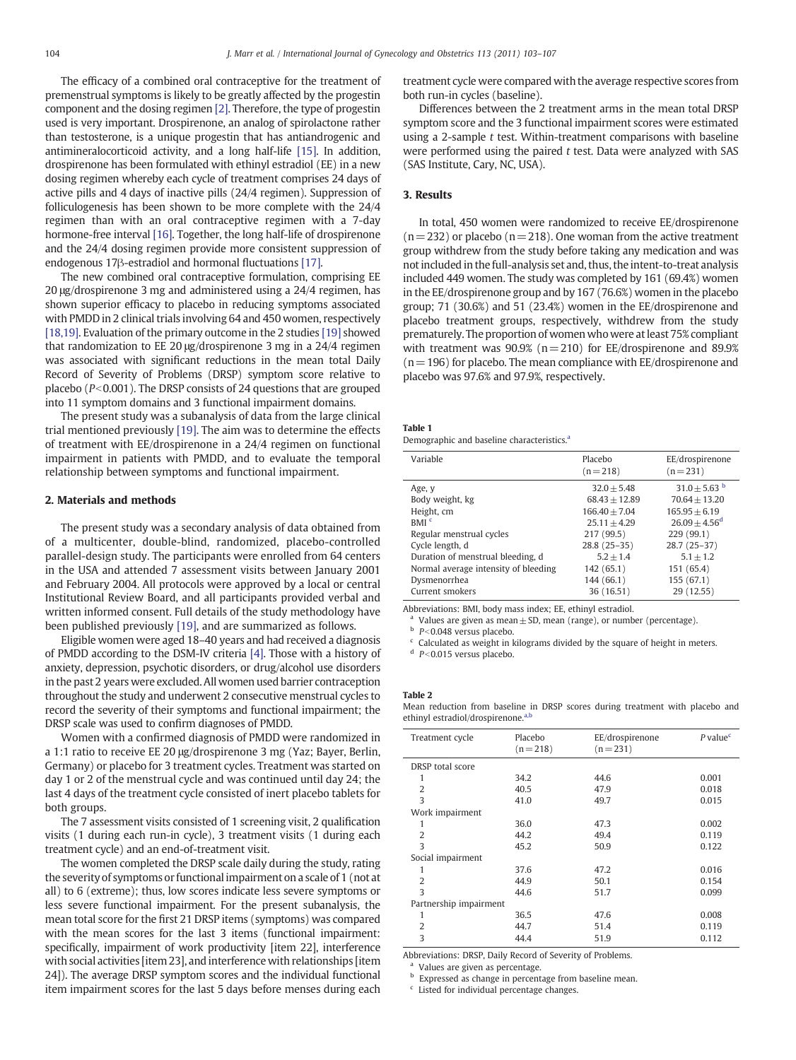<span id="page-1-0"></span>The efficacy of a combined oral contraceptive for the treatment of premenstrual symptoms is likely to be greatly affected by the progestin component and the dosing regimen [\[2\].](#page-3-0) Therefore, the type of progestin used is very important. Drospirenone, an analog of spirolactone rather than testosterone, is a unique progestin that has antiandrogenic and antimineralocorticoid activity, and a long half-life [\[15\].](#page-3-0) In addition, drospirenone has been formulated with ethinyl estradiol (EE) in a new dosing regimen whereby each cycle of treatment comprises 24 days of active pills and 4 days of inactive pills (24/4 regimen). Suppression of folliculogenesis has been shown to be more complete with the 24/4 regimen than with an oral contraceptive regimen with a 7-day hormone-free interval [\[16\].](#page-4-0) Together, the long half-life of drospirenone and the 24/4 dosing regimen provide more consistent suppression of endogenous 17β-estradiol and hormonal fluctuations [\[17\].](#page-4-0)

The new combined oral contraceptive formulation, comprising EE 20 μg/drospirenone 3 mg and administered using a 24/4 regimen, has shown superior efficacy to placebo in reducing symptoms associated with PMDD in 2 clinical trials involving 64 and 450 women, respectively [\[18,19\].](#page-4-0) Evaluation of the primary outcome in the 2 studies [\[19\]](#page-4-0) showed that randomization to EE 20 μg/drospirenone 3 mg in a 24/4 regimen was associated with significant reductions in the mean total Daily Record of Severity of Problems (DRSP) symptom score relative to placebo ( $P<0.001$ ). The DRSP consists of 24 questions that are grouped into 11 symptom domains and 3 functional impairment domains.

The present study was a subanalysis of data from the large clinical trial mentioned previously [\[19\]](#page-4-0). The aim was to determine the effects of treatment with EE/drospirenone in a 24/4 regimen on functional impairment in patients with PMDD, and to evaluate the temporal relationship between symptoms and functional impairment.

#### 2. Materials and methods

The present study was a secondary analysis of data obtained from of a multicenter, double-blind, randomized, placebo-controlled parallel-design study. The participants were enrolled from 64 centers in the USA and attended 7 assessment visits between January 2001 and February 2004. All protocols were approved by a local or central Institutional Review Board, and all participants provided verbal and written informed consent. Full details of the study methodology have been published previously [\[19\]](#page-4-0), and are summarized as follows.

Eligible women were aged 18–40 years and had received a diagnosis of PMDD according to the DSM-IV criteria [\[4\]](#page-3-0). Those with a history of anxiety, depression, psychotic disorders, or drug/alcohol use disorders in the past 2 years were excluded. All women used barrier contraception throughout the study and underwent 2 consecutive menstrual cycles to record the severity of their symptoms and functional impairment; the DRSP scale was used to confirm diagnoses of PMDD.

Women with a confirmed diagnosis of PMDD were randomized in a 1:1 ratio to receive EE 20 μg/drospirenone 3 mg (Yaz; Bayer, Berlin, Germany) or placebo for 3 treatment cycles. Treatment was started on day 1 or 2 of the menstrual cycle and was continued until day 24; the last 4 days of the treatment cycle consisted of inert placebo tablets for both groups.

The 7 assessment visits consisted of 1 screening visit, 2 qualification visits (1 during each run-in cycle), 3 treatment visits (1 during each treatment cycle) and an end-of-treatment visit.

The women completed the DRSP scale daily during the study, rating the severity of symptoms or functional impairment on a scale of 1 (not at all) to 6 (extreme); thus, low scores indicate less severe symptoms or less severe functional impairment. For the present subanalysis, the mean total score for the first 21 DRSP items (symptoms) was compared with the mean scores for the last 3 items (functional impairment: specifically, impairment of work productivity [item 22], interference with social activities [item 23], and interference with relationships [item 24]). The average DRSP symptom scores and the individual functional item impairment scores for the last 5 days before menses during each

treatment cycle were compared with the average respective scores from both run-in cycles (baseline).

Differences between the 2 treatment arms in the mean total DRSP symptom score and the 3 functional impairment scores were estimated using a 2-sample  $t$  test. Within-treatment comparisons with baseline were performed using the paired  $t$  test. Data were analyzed with SAS (SAS Institute, Cary, NC, USA).

# 3. Results

In total, 450 women were randomized to receive EE/drospirenone  $(n=232)$  or placebo  $(n=218)$ . One woman from the active treatment group withdrew from the study before taking any medication and was not included in the full-analysis set and, thus, the intent-to-treat analysis included 449 women. The study was completed by 161 (69.4%) women in the EE/drospirenone group and by 167 (76.6%) women in the placebo group; 71 (30.6%) and 51 (23.4%) women in the EE/drospirenone and placebo treatment groups, respectively, withdrew from the study prematurely. The proportion of women who were at least 75% compliant with treatment was  $90.9\%$  (n = 210) for EE/drospirenone and 89.9%  $(n=196)$  for placebo. The mean compliance with EE/drospirenone and placebo was 97.6% and 97.9%, respectively.

| Table |  |  |  |  |
|-------|--|--|--|--|
|-------|--|--|--|--|

Demographic and baseline characteristics.<sup>a</sup>

| Variable                             | Placebo<br>$(n=218)$ | EE/drospirenone<br>$(n=231)$ |
|--------------------------------------|----------------------|------------------------------|
| Age, y                               | $32.0 + 5.48$        | $31.0 + 5.63$                |
| Body weight, kg                      | $68.43 + 12.89$      | $70.64 + 13.20$              |
| Height, cm                           | $166.40 + 7.04$      | $165.95 + 6.19$              |
| BMI <sub>c</sub>                     | $25.11 + 4.29$       | $26.09 + 4.56$ <sup>d</sup>  |
| Regular menstrual cycles             | 217 (99.5)           | 229 (99.1)                   |
| Cycle length, d                      | $28.8(25-35)$        | $28.7(25-37)$                |
| Duration of menstrual bleeding, d    | $5.2 + 1.4$          | $5.1 + 1.2$                  |
| Normal average intensity of bleeding | 142 (65.1)           | 151 (65.4)                   |
| Dysmenorrhea                         | 144 (66.1)           | 155 (67.1)                   |
| Current smokers                      | 36 (16.51)           | 29 (12.55)                   |

Abbreviations: BMI, body mass index; EE, ethinyl estradiol.

<sup>a</sup> Values are given as mean $\pm$  SD, mean (range), or number (percentage).

 $b$  P<0.048 versus placebo.

Calculated as weight in kilograms divided by the square of height in meters.

 $P$  < 0.015 versus placebo.

#### Table 2

Mean reduction from baseline in DRSP scores during treatment with placebo and ethinyl estradiol/drospirenone.<sup>a,b</sup>

| Treatment cycle        | Placebo<br>$(n=218)$ | EE/drospirenone<br>$(n=231)$ | P value <sup>c</sup> |
|------------------------|----------------------|------------------------------|----------------------|
| DRSP total score       |                      |                              |                      |
| 1                      | 34.2                 | 44.6                         | 0.001                |
| $\overline{2}$         | 40.5                 | 47.9                         | 0.018                |
| 3                      | 41.0                 | 49.7                         | 0.015                |
| Work impairment        |                      |                              |                      |
| 1                      | 36.0                 | 47.3                         | 0.002                |
| $\overline{2}$         | 44.2                 | 49.4                         | 0.119                |
| 3                      | 45.2                 | 50.9                         | 0.122                |
| Social impairment      |                      |                              |                      |
| 1                      | 37.6                 | 47.2                         | 0.016                |
| 2                      | 44.9                 | 50.1                         | 0.154                |
| 3                      | 44.6                 | 51.7                         | 0.099                |
| Partnership impairment |                      |                              |                      |
| 1                      | 36.5                 | 47.6                         | 0.008                |
| 2                      | 44.7                 | 51.4                         | 0.119                |
| 3                      | 44.4                 | 51.9                         | 0.112                |

Abbreviations: DRSP, Daily Record of Severity of Problems.

<sup>a</sup> Values are given as percentage.

**b** Expressed as change in percentage from baseline mean.

Listed for individual percentage changes.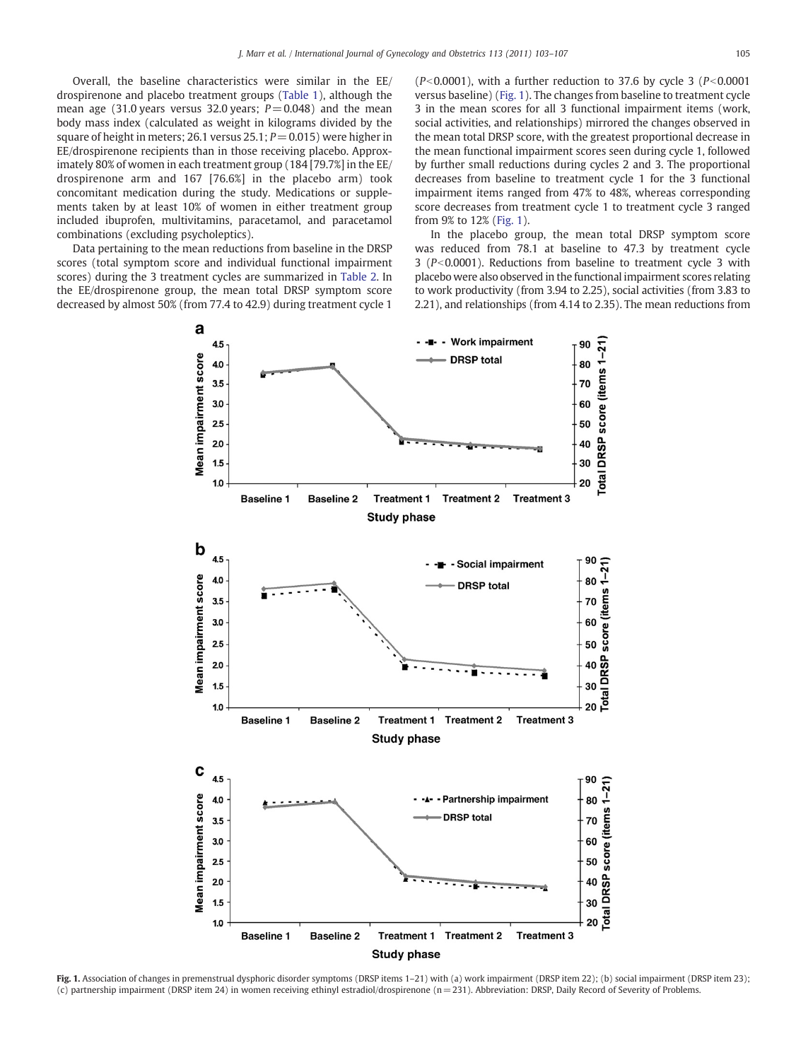Overall, the baseline characteristics were similar in the EE/ drospirenone and placebo treatment groups ([Table 1](#page-1-0)), although the mean age (31.0 years versus 32.0 years;  $P = 0.048$ ) and the mean body mass index (calculated as weight in kilograms divided by the square of height in meters; 26.1 versus 25.1;  $P = 0.015$ ) were higher in EE/drospirenone recipients than in those receiving placebo. Approximately 80% of women in each treatment group (184 [79.7%] in the EE/ drospirenone arm and 167 [76.6%] in the placebo arm) took concomitant medication during the study. Medications or supplements taken by at least 10% of women in either treatment group included ibuprofen, multivitamins, paracetamol, and paracetamol combinations (excluding psycholeptics).

Data pertaining to the mean reductions from baseline in the DRSP scores (total symptom score and individual functional impairment scores) during the 3 treatment cycles are summarized in [Table 2.](#page-1-0) In the EE/drospirenone group, the mean total DRSP symptom score decreased by almost 50% (from 77.4 to 42.9) during treatment cycle 1

( $P<0.0001$ ), with a further reduction to 37.6 by cycle 3 ( $P<0.0001$ ) versus baseline) (Fig. 1). The changes from baseline to treatment cycle 3 in the mean scores for all 3 functional impairment items (work, social activities, and relationships) mirrored the changes observed in the mean total DRSP score, with the greatest proportional decrease in the mean functional impairment scores seen during cycle 1, followed by further small reductions during cycles 2 and 3. The proportional decreases from baseline to treatment cycle 1 for the 3 functional impairment items ranged from 47% to 48%, whereas corresponding score decreases from treatment cycle 1 to treatment cycle 3 ranged from 9% to 12% (Fig. 1).

In the placebo group, the mean total DRSP symptom score was reduced from 78.1 at baseline to 47.3 by treatment cycle 3 ( $P < 0.0001$ ). Reductions from baseline to treatment cycle 3 with placebo were also observed in the functional impairment scores relating to work productivity (from 3.94 to 2.25), social activities (from 3.83 to 2.21), and relationships (from 4.14 to 2.35). The mean reductions from



Fig. 1. Association of changes in premenstrual dysphoric disorder symptoms (DRSP items 1-21) with (a) work impairment (DRSP item 22); (b) social impairment (DRSP item 23); (c) partnership impairment (DRSP item 24) in women receiving ethinyl estradiol/drospirenone (n= 231). Abbreviation: DRSP, Daily Record of Severity of Problems.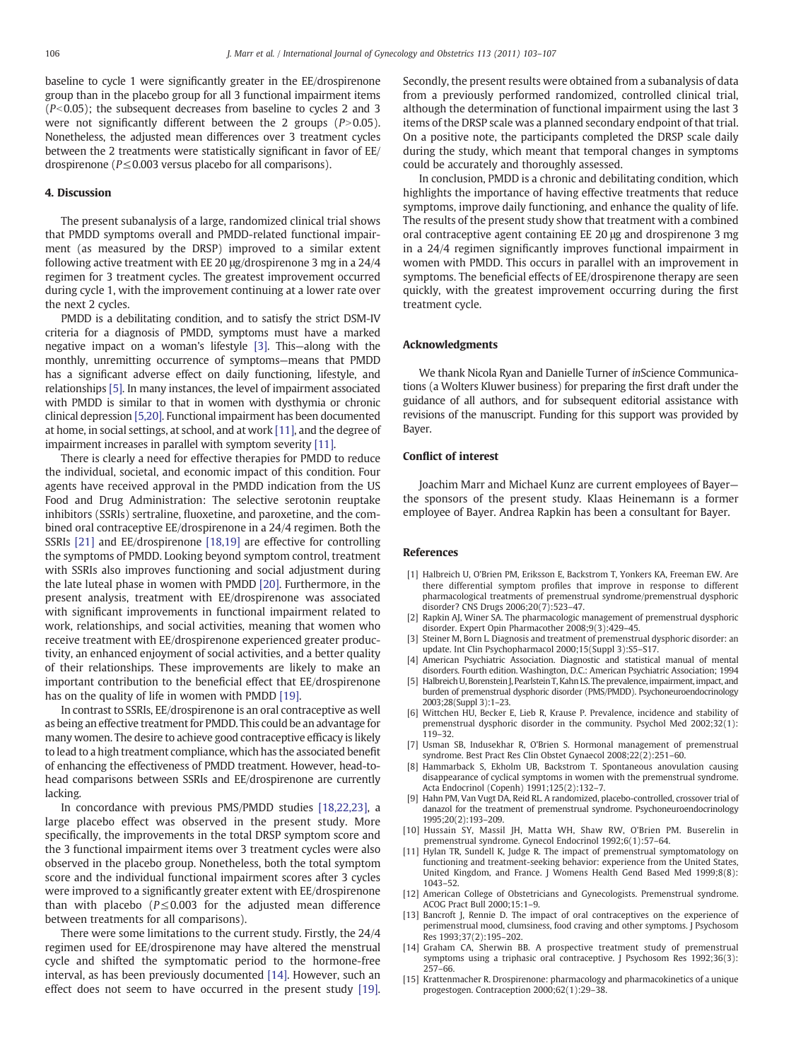<span id="page-3-0"></span>baseline to cycle 1 were significantly greater in the EE/drospirenone group than in the placebo group for all 3 functional impairment items  $(P<0.05)$ ; the subsequent decreases from baseline to cycles 2 and 3 were not significantly different between the 2 groups  $(P>0.05)$ . Nonetheless, the adjusted mean differences over 3 treatment cycles between the 2 treatments were statistically significant in favor of EE/ drospirenone (P≤0.003 versus placebo for all comparisons).

#### 4. Discussion

The present subanalysis of a large, randomized clinical trial shows that PMDD symptoms overall and PMDD-related functional impairment (as measured by the DRSP) improved to a similar extent following active treatment with EE 20 μg/drospirenone 3 mg in a 24/4 regimen for 3 treatment cycles. The greatest improvement occurred during cycle 1, with the improvement continuing at a lower rate over the next 2 cycles.

PMDD is a debilitating condition, and to satisfy the strict DSM-IV criteria for a diagnosis of PMDD, symptoms must have a marked negative impact on a woman's lifestyle [3]. This—along with the monthly, unremitting occurrence of symptoms—means that PMDD has a significant adverse effect on daily functioning, lifestyle, and relationships [5]. In many instances, the level of impairment associated with PMDD is similar to that in women with dysthymia or chronic clinical depression [5,20]. Functional impairment has been documented at home, in social settings, at school, and at work [11], and the degree of impairment increases in parallel with symptom severity [11].

There is clearly a need for effective therapies for PMDD to reduce the individual, societal, and economic impact of this condition. Four agents have received approval in the PMDD indication from the US Food and Drug Administration: The selective serotonin reuptake inhibitors (SSRIs) sertraline, fluoxetine, and paroxetine, and the combined oral contraceptive EE/drospirenone in a 24/4 regimen. Both the SSRIs [\[21\]](#page-4-0) and EE/drospirenone [\[18,19\]](#page-4-0) are effective for controlling the symptoms of PMDD. Looking beyond symptom control, treatment with SSRIs also improves functioning and social adjustment during the late luteal phase in women with PMDD [\[20\].](#page-4-0) Furthermore, in the present analysis, treatment with EE/drospirenone was associated with significant improvements in functional impairment related to work, relationships, and social activities, meaning that women who receive treatment with EE/drospirenone experienced greater productivity, an enhanced enjoyment of social activities, and a better quality of their relationships. These improvements are likely to make an important contribution to the beneficial effect that EE/drospirenone has on the quality of life in women with PMDD [\[19\].](#page-4-0)

In contrast to SSRIs, EE/drospirenone is an oral contraceptive as well as being an effective treatment for PMDD. This could be an advantage for many women. The desire to achieve good contraceptive efficacy is likely to lead to a high treatment compliance, which has the associated benefit of enhancing the effectiveness of PMDD treatment. However, head-tohead comparisons between SSRIs and EE/drospirenone are currently lacking.

In concordance with previous PMS/PMDD studies [\[18,22,23\],](#page-4-0) a large placebo effect was observed in the present study. More specifically, the improvements in the total DRSP symptom score and the 3 functional impairment items over 3 treatment cycles were also observed in the placebo group. Nonetheless, both the total symptom score and the individual functional impairment scores after 3 cycles were improved to a significantly greater extent with EE/drospirenone than with placebo ( $P \le 0.003$  for the adjusted mean difference between treatments for all comparisons).

There were some limitations to the current study. Firstly, the 24/4 regimen used for EE/drospirenone may have altered the menstrual cycle and shifted the symptomatic period to the hormone-free interval, as has been previously documented [14]. However, such an effect does not seem to have occurred in the present study [\[19\].](#page-4-0)

Secondly, the present results were obtained from a subanalysis of data from a previously performed randomized, controlled clinical trial, although the determination of functional impairment using the last 3 items of the DRSP scale was a planned secondary endpoint of that trial. On a positive note, the participants completed the DRSP scale daily during the study, which meant that temporal changes in symptoms could be accurately and thoroughly assessed.

In conclusion, PMDD is a chronic and debilitating condition, which highlights the importance of having effective treatments that reduce symptoms, improve daily functioning, and enhance the quality of life. The results of the present study show that treatment with a combined oral contraceptive agent containing EE 20 μg and drospirenone 3 mg in a 24/4 regimen significantly improves functional impairment in women with PMDD. This occurs in parallel with an improvement in symptoms. The beneficial effects of EE/drospirenone therapy are seen quickly, with the greatest improvement occurring during the first treatment cycle.

### Acknowledgments

We thank Nicola Ryan and Danielle Turner of inScience Communications (a Wolters Kluwer business) for preparing the first draft under the guidance of all authors, and for subsequent editorial assistance with revisions of the manuscript. Funding for this support was provided by Bayer.

# Conflict of interest

Joachim Marr and Michael Kunz are current employees of Bayer the sponsors of the present study. Klaas Heinemann is a former employee of Bayer. Andrea Rapkin has been a consultant for Bayer.

#### References

- [1] Halbreich U, O'Brien PM, Eriksson E, Backstrom T, Yonkers KA, Freeman EW. Are there differential symptom profiles that improve in response to different pharmacological treatments of premenstrual syndrome/premenstrual dysphoric disorder? CNS Drugs 2006;20(7):523–47.
- [2] Rapkin AJ, Winer SA. The pharmacologic management of premenstrual dysphoric disorder. Expert Opin Pharmacother 2008;9(3):429–45.
- [3] Steiner M, Born L. Diagnosis and treatment of premenstrual dysphoric disorder: an update. Int Clin Psychopharmacol 2000;15(Suppl 3):S5–S17.
- [4] American Psychiatric Association. Diagnostic and statistical manual of mental disorders. Fourth edition. Washington, D.C.: American Psychiatric Association; 1994
- [5] Halbreich U, Borenstein J, Pearlstein T, Kahn LS. The prevalence, impairment, impact, and burden of premenstrual dysphoric disorder (PMS/PMDD). Psychoneuroendocrinology 2003;28(Suppl 3):1–23.
- [6] Wittchen HU, Becker E, Lieb R, Krause P. Prevalence, incidence and stability of premenstrual dysphoric disorder in the community. Psychol Med 2002;32(1): 119–32.
- [7] Usman SB, Indusekhar R, O'Brien S. Hormonal management of premenstrual syndrome. Best Pract Res Clin Obstet Gynaecol 2008;22(2):251–60.
- [8] Hammarback S, Ekholm UB, Backstrom T. Spontaneous anovulation causing disappearance of cyclical symptoms in women with the premenstrual syndrome. Acta Endocrinol (Copenh) 1991;125(2):132–7.
- Hahn PM, Van Vugt DA, Reid RL. A randomized, placebo-controlled, crossover trial of danazol for the treatment of premenstrual syndrome. Psychoneuroendocrinology 1995;20(2):193–209.
- [10] Hussain SY, Massil JH, Matta WH, Shaw RW, O'Brien PM. Buserelin in premenstrual syndrome. Gynecol Endocrinol 1992;6(1):57–64.
- [11] Hylan TR, Sundell K, Judge R. The impact of premenstrual symptomatology on functioning and treatment-seeking behavior: experience from the United States, United Kingdom, and France. J Womens Health Gend Based Med 1999;8(8): 1043–52.
- [12] American College of Obstetricians and Gynecologists. Premenstrual syndrome. ACOG Pract Bull 2000;15:1–9.
- [13] Bancroft J, Rennie D. The impact of oral contraceptives on the experience of perimenstrual mood, clumsiness, food craving and other symptoms. J Psychosom Res 1993;37(2):195–202.
- [14] Graham CA, Sherwin BB. A prospective treatment study of premenstrual symptoms using a triphasic oral contraceptive. J Psychosom Res 1992;36(3): 257–66.
- [15] Krattenmacher R. Drospirenone: pharmacology and pharmacokinetics of a unique progestogen. Contraception 2000;62(1):29–38.